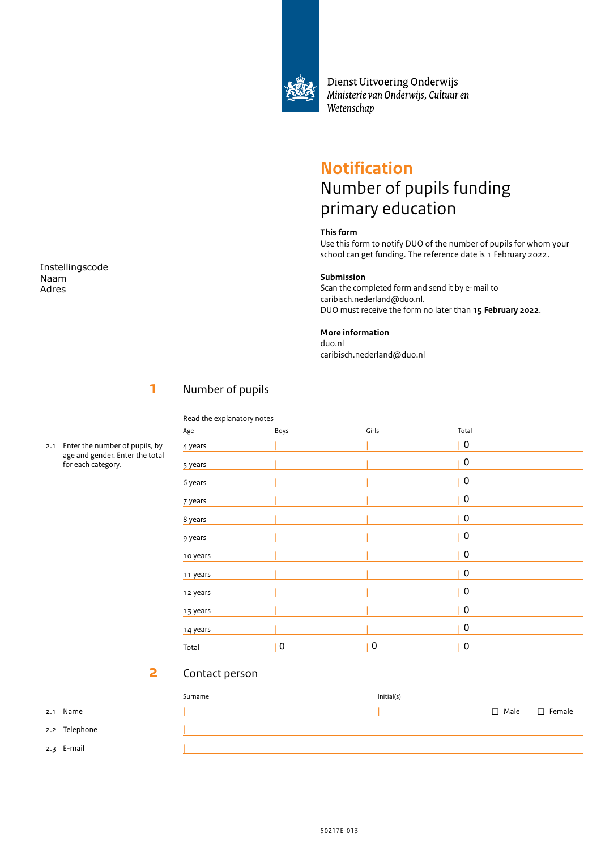

Dienst Uitvoering Onderwijs Ministerie van Onderwijs, Cultuur en Wetenschap

# **Notification** Number of pupils funding primary education

## **This form**

Use this form to notify DUO of the number of pupils for whom your school can get funding. The reference date is 1 February 2022.

### **Submission**

Scan the completed form and send it by e-mail to caribisch.nederland@duo.nl. DUO must receive the form no later than **15 February 2022**.

### **More information**

duo.nl caribisch.nederland@duo.nl

# **1**

Read the explanatory notes

Number of pupils

| Boys             |   | Total            |  |  |  |  |
|------------------|---|------------------|--|--|--|--|
|                  |   | 0                |  |  |  |  |
|                  |   | 0                |  |  |  |  |
|                  |   | 0                |  |  |  |  |
|                  |   | 0                |  |  |  |  |
|                  |   | 0                |  |  |  |  |
|                  |   | 0                |  |  |  |  |
|                  |   | 0                |  |  |  |  |
|                  |   | 0                |  |  |  |  |
|                  |   | 0                |  |  |  |  |
|                  |   | $\boldsymbol{0}$ |  |  |  |  |
|                  |   | $\boldsymbol{0}$ |  |  |  |  |
| $\boldsymbol{0}$ | 0 | 0                |  |  |  |  |
|                  |   | Girls            |  |  |  |  |

### **2** Contact person

| Surname | Initial(s) |                           |
|---------|------------|---------------------------|
|         |            | $\Box$ Male $\Box$ Female |
|         |            |                           |
|         |            |                           |
|         |            |                           |

Instellingscode Naam Adres

2.1 Enter the number of pupils, by

age and gender. Enter the total for each category.

2.1 Name

2.2 Telephone 2.3 E-mail